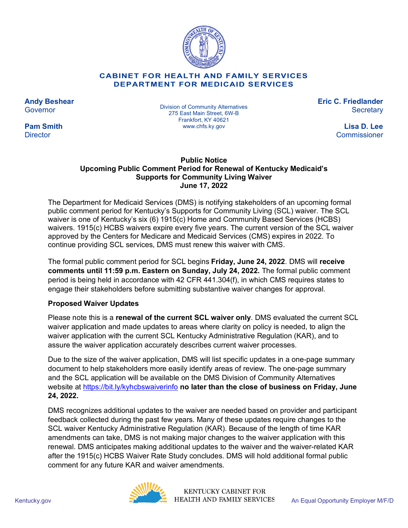

### **CABINET FOR HEALTH AND FAMILY SERVICES DEPARTMENT FOR MEDICAID SERVICES**

**Andy Beshear Governor** 

**Pam Smith Director** 

Division of Community Alternatives 275 East Main Street, 6W-B Frankfort, KY 40621 www.chfs.ky.gov

**Eric C. Friedlander Secretary** 

> **Lisa D. Lee Commissioner**

### **Public Notice Upcoming Public Comment Period for Renewal of Kentucky Medicaid's Supports for Community Living Waiver June 17, 2022**

The Department for Medicaid Services (DMS) is notifying stakeholders of an upcoming formal public comment period for Kentucky's Supports for Community Living (SCL) waiver. The SCL waiver is one of Kentucky's six (6) 1915(c) Home and Community Based Services (HCBS) waivers. 1915(c) HCBS waivers expire every five years. The current version of the SCL waiver approved by the Centers for Medicare and Medicaid Services (CMS) expires in 2022. To continue providing SCL services, DMS must renew this waiver with CMS.

The formal public comment period for SCL begins **Friday, June 24, 2022**. DMS will **receive comments until 11:59 p.m. Eastern on Sunday, July 24, 2022.** The formal public comment period is being held in accordance with 42 CFR 441.304(f), in which CMS requires states to engage their stakeholders before submitting substantive waiver changes for approval.

# **Proposed Waiver Updates**

Please note this is a **renewal of the current SCL waiver only**. DMS evaluated the current SCL waiver application and made updates to areas where clarity on policy is needed, to align the waiver application with the current SCL Kentucky Administrative Regulation (KAR), and to assure the waiver application accurately describes current waiver processes.

Due to the size of the waiver application, DMS will list specific updates in a one-page summary document to help stakeholders more easily identify areas of review. The one-page summary and the SCL application will be available on the DMS Division of Community Alternatives website at<https://bit.ly/kyhcbswaiverinfo> **no later than the close of business on Friday, June 24, 2022.** 

DMS recognizes additional updates to the waiver are needed based on provider and participant feedback collected during the past few years. Many of these updates require changes to the SCL waiver Kentucky Administrative Regulation (KAR). Because of the length of time KAR amendments can take, DMS is not making major changes to the waiver application with this renewal. DMS anticipates making additional updates to the waiver and the waiver-related KAR after the 1915(c) HCBS Waiver Rate Study concludes. DMS will hold additional formal public comment for any future KAR and waiver amendments.



KENTUCKY CABINET FOR Kentucky.gov **An Equal Opportunity Employer M/F/D**<br>An Equal Opportunity Employer M/F/D